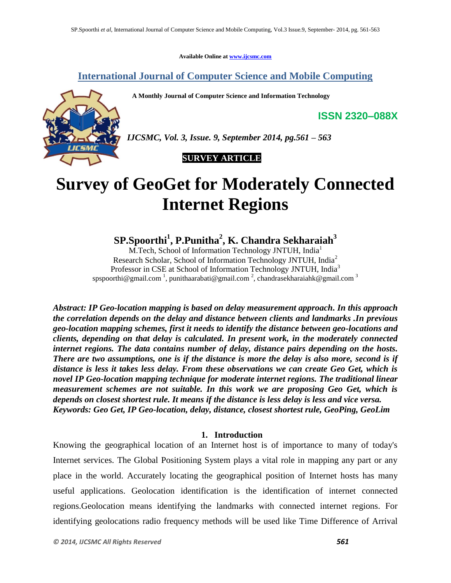**Available Online at www.ijcsmc.com**

**International Journal of Computer Science and Mobile Computing**

 **A Monthly Journal of Computer Science and Information Technology**



*IJCSMC, Vol. 3, Issue. 9, September 2014, pg.561 – 563*

## **SURVEY ARTICLE**

# **Survey of GeoGet for Moderately Connected Internet Regions**

**SP.Spoorthi<sup>1</sup> , P.Punitha<sup>2</sup> , K. Chandra Sekharaiah<sup>3</sup>**

M.Tech, School of Information Technology JNTUH, India<sup>1</sup> Research Scholar, School of Information Technology JNTUH, India<sup>2</sup> Professor in CSE at School of Information Technology JNTUH, India<sup>3</sup> spspoorthi@gmail.com<sup>1</sup>, punithaarabati@gmail.com<sup>2</sup>, chandrasekharaiahk@gmail.com<sup>3</sup>

*Abstract: IP Geo-location mapping is based on delay measurement approach. In this approach the correlation depends on the delay and distance between clients and landmarks .In previous geo-location mapping schemes, first it needs to identify the distance between geo-locations and clients, depending on that delay is calculated. In present work, in the moderately connected internet regions. The data contains number of delay, distance pairs depending on the hosts. There are two assumptions, one is if the distance is more the delay is also more, second is if distance is less it takes less delay. From these observations we can create Geo Get, which is novel IP Geo-location mapping technique for moderate internet regions. The traditional linear measurement schemes are not suitable. In this work we are proposing Geo Get, which is depends on closest shortest rule. It means if the distance is less delay is less and vice versa. Keywords: Geo Get, IP Geo-location, delay, distance, closest shortest rule, GeoPing, GeoLim*

### **1. Introduction**

Knowing the geographical location of an Internet host is of importance to many of today's Internet services. The Global Positioning System plays a vital role in mapping any part or any place in the world. Accurately locating the geographical position of Internet hosts has many useful applications. Geolocation identification is the identification of internet connected regions.Geolocation means identifying the landmarks with connected internet regions. For identifying geolocations radio frequency methods will be used like Time Difference of Arrival

**ISSN 2320–088X**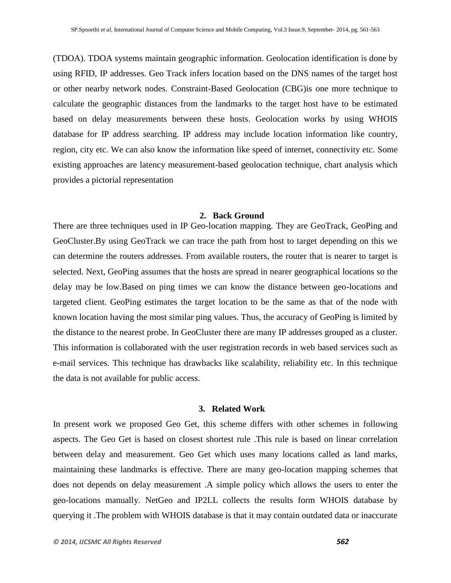(TDOA). TDOA systems maintain geographic information. Geolocation identification is done by using RFID, IP addresses. Geo Track infers location based on the DNS names of the target host or other nearby network nodes. Constraint-Based Geolocation (CBG)is one more technique to calculate the geographic distances from the landmarks to the target host have to be estimated based on delay measurements between these hosts. Geolocation works by using WHOIS database for IP address searching. IP address may include location information like country, region, city etc. We can also know the information like speed of internet, connectivity etc. Some existing approaches are latency measurement-based geolocation technique, chart analysis which provides a pictorial representation

#### **2. Back Ground**

There are three techniques used in IP Geo-location mapping. They are GeoTrack, GeoPing and GeoCluster.By using GeoTrack we can trace the path from host to target depending on this we can determine the routers addresses. From available routers, the router that is nearer to target is selected. Next, GeoPing assumes that the hosts are spread in nearer geographical locations so the delay may be low.Based on ping times we can know the distance between geo-locations and targeted client. GeoPing estimates the target location to be the same as that of the node with known location having the most similar ping values. Thus, the accuracy of GeoPing is limited by the distance to the nearest probe. In GeoCluster there are many IP addresses grouped as a cluster. This information is collaborated with the user registration records in web based services such as e-mail services. This technique has drawbacks like scalability, reliability etc. In this technique the data is not available for public access.

#### **3. Related Work**

In present work we proposed Geo Get, this scheme differs with other schemes in following aspects. The Geo Get is based on closest shortest rule .This rule is based on linear correlation between delay and measurement. Geo Get which uses many locations called as land marks, maintaining these landmarks is effective. There are many geo-location mapping schemes that does not depends on delay measurement .A simple policy which allows the users to enter the geo-locations manually. NetGeo and IP2LL collects the results form WHOIS database by querying it .The problem with WHOIS database is that it may contain outdated data or inaccurate